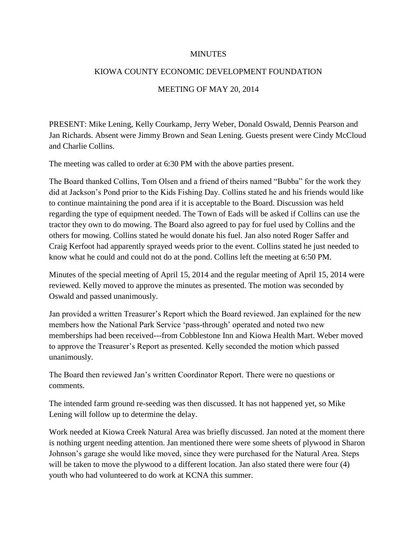## MINUTES

## KIOWA COUNTY ECONOMIC DEVELOPMENT FOUNDATION

## MEETING OF MAY 20, 2014

PRESENT: Mike Lening, Kelly Courkamp, Jerry Weber, Donald Oswald, Dennis Pearson and Jan Richards. Absent were Jimmy Brown and Sean Lening. Guests present were Cindy McCloud and Charlie Collins.

The meeting was called to order at 6:30 PM with the above parties present.

The Board thanked Collins, Tom Olsen and a friend of theirs named "Bubba" for the work they did at Jackson's Pond prior to the Kids Fishing Day. Collins stated he and his friends would like to continue maintaining the pond area if it is acceptable to the Board. Discussion was held regarding the type of equipment needed. The Town of Eads will be asked if Collins can use the tractor they own to do mowing. The Board also agreed to pay for fuel used by Collins and the others for mowing. Collins stated he would donate his fuel. Jan also noted Roger Saffer and Craig Kerfoot had apparently sprayed weeds prior to the event. Collins stated he just needed to know what he could and could not do at the pond. Collins left the meeting at 6:50 PM.

Minutes of the special meeting of April 15, 2014 and the regular meeting of April 15, 2014 were reviewed. Kelly moved to approve the minutes as presented. The motion was seconded by Oswald and passed unanimously.

Jan provided a written Treasurer's Report which the Board reviewed. Jan explained for the new members how the National Park Service 'pass-through' operated and noted two new memberships had been received---from Cobblestone Inn and Kiowa Health Mart. Weber moved to approve the Treasurer's Report as presented. Kelly seconded the motion which passed unanimously.

The Board then reviewed Jan's written Coordinator Report. There were no questions or comments.

The intended farm ground re-seeding was then discussed. It has not happened yet, so Mike Lening will follow up to determine the delay.

Work needed at Kiowa Creek Natural Area was briefly discussed. Jan noted at the moment there is nothing urgent needing attention. Jan mentioned there were some sheets of plywood in Sharon Johnson's garage she would like moved, since they were purchased for the Natural Area. Steps will be taken to move the plywood to a different location. Jan also stated there were four (4) youth who had volunteered to do work at KCNA this summer.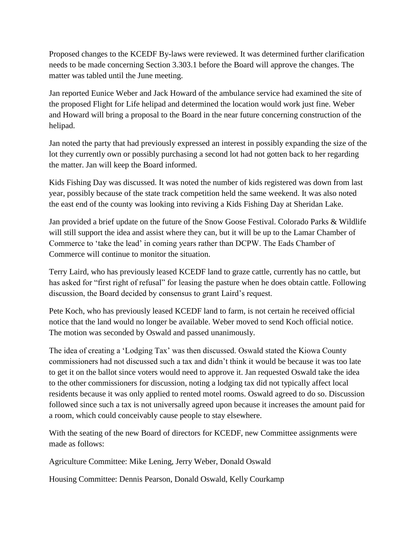Proposed changes to the KCEDF By-laws were reviewed. It was determined further clarification needs to be made concerning Section 3.303.1 before the Board will approve the changes. The matter was tabled until the June meeting.

Jan reported Eunice Weber and Jack Howard of the ambulance service had examined the site of the proposed Flight for Life helipad and determined the location would work just fine. Weber and Howard will bring a proposal to the Board in the near future concerning construction of the helipad.

Jan noted the party that had previously expressed an interest in possibly expanding the size of the lot they currently own or possibly purchasing a second lot had not gotten back to her regarding the matter. Jan will keep the Board informed.

Kids Fishing Day was discussed. It was noted the number of kids registered was down from last year, possibly because of the state track competition held the same weekend. It was also noted the east end of the county was looking into reviving a Kids Fishing Day at Sheridan Lake.

Jan provided a brief update on the future of the Snow Goose Festival. Colorado Parks & Wildlife will still support the idea and assist where they can, but it will be up to the Lamar Chamber of Commerce to 'take the lead' in coming years rather than DCPW. The Eads Chamber of Commerce will continue to monitor the situation.

Terry Laird, who has previously leased KCEDF land to graze cattle, currently has no cattle, but has asked for "first right of refusal" for leasing the pasture when he does obtain cattle. Following discussion, the Board decided by consensus to grant Laird's request.

Pete Koch, who has previously leased KCEDF land to farm, is not certain he received official notice that the land would no longer be available. Weber moved to send Koch official notice. The motion was seconded by Oswald and passed unanimously.

The idea of creating a 'Lodging Tax' was then discussed. Oswald stated the Kiowa County commissioners had not discussed such a tax and didn't think it would be because it was too late to get it on the ballot since voters would need to approve it. Jan requested Oswald take the idea to the other commissioners for discussion, noting a lodging tax did not typically affect local residents because it was only applied to rented motel rooms. Oswald agreed to do so. Discussion followed since such a tax is not universally agreed upon because it increases the amount paid for a room, which could conceivably cause people to stay elsewhere.

With the seating of the new Board of directors for KCEDF, new Committee assignments were made as follows:

Agriculture Committee: Mike Lening, Jerry Weber, Donald Oswald

Housing Committee: Dennis Pearson, Donald Oswald, Kelly Courkamp